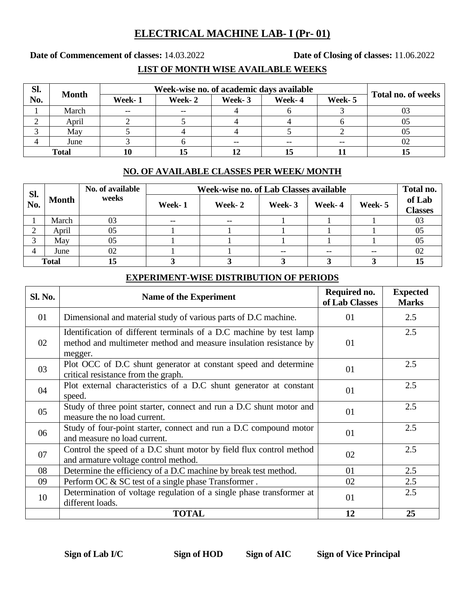## **ELECTRICAL MACHINE LAB- I (Pr- 01)**

**Date of Commencement of classes:** 14.03.2022 **Date of Closing of classes:** 11.06.2022

### **LIST OF MONTH WISE AVAILABLE WEEKS**

| SI.          | <b>Month</b> | Week-wise no. of academic days available | Total no. of weeks |        |        |        |    |
|--------------|--------------|------------------------------------------|--------------------|--------|--------|--------|----|
| No.          |              | Week-1                                   | Week-2             | Week-3 | Week-4 | Week-5 |    |
|              | March        | $\hspace{0.05cm}$ – $\hspace{0.05cm}$    | $- -$              |        |        |        |    |
|              | April        |                                          |                    |        |        |        |    |
|              | May          |                                          |                    |        |        |        |    |
|              | June         |                                          |                    | --     | --     | $- -$  | 02 |
| <b>Total</b> |              |                                          | 15                 |        |        |        | IJ |

#### **NO. OF AVAILABLE CLASSES PER WEEK/ MONTH**

| Sl.<br>No.   | <b>Month</b> | No. of available<br>weeks | Week-wise no. of Lab Classes available |        |        |        |         |                          |
|--------------|--------------|---------------------------|----------------------------------------|--------|--------|--------|---------|--------------------------|
|              |              |                           | Week-1                                 | Week-2 | Week-3 | Week-4 | Week- 5 | of Lab<br><b>Classes</b> |
|              | March        | 03                        | $- -$                                  | $-$    |        |        |         | 03                       |
| ◠            | April        | 05                        |                                        |        |        |        |         | 05                       |
| ⌒            | May          | 05                        |                                        |        |        |        |         | 05                       |
| 4            | June         | 02                        |                                        |        |        | --     | --      | 02                       |
| <b>Total</b> |              | l5                        |                                        |        |        |        |         | 15                       |

#### **EXPERIMENT-WISE DISTRIBUTION OF PERIODS**

| <b>Sl. No.</b> | <b>Name of the Experiment</b>                                                                                                                       | Required no.<br>of Lab Classes | <b>Expected</b><br><b>Marks</b> |
|----------------|-----------------------------------------------------------------------------------------------------------------------------------------------------|--------------------------------|---------------------------------|
| 01             | Dimensional and material study of various parts of D.C machine.                                                                                     | 01                             | 2.5                             |
| 02             | Identification of different terminals of a D.C machine by test lamp<br>method and multimeter method and measure insulation resistance by<br>megger. | 01                             | 2.5                             |
| 03             | Plot OCC of D.C shunt generator at constant speed and determine<br>critical resistance from the graph.                                              | 01                             | 2.5                             |
| 04             | Plot external characteristics of a D.C shunt generator at constant<br>speed.                                                                        | 01                             | 2.5                             |
| 05             | Study of three point starter, connect and run a D.C shunt motor and<br>measure the no load current.                                                 | 01                             | 2.5                             |
| 06             | Study of four-point starter, connect and run a D.C compound motor<br>and measure no load current.                                                   | 01                             | 2.5                             |
| 07             | Control the speed of a D.C shunt motor by field flux control method<br>and armature voltage control method.                                         |                                | 2.5                             |
| 08             | Determine the efficiency of a D.C machine by break test method.                                                                                     | 01                             | 2.5                             |
| 09             | Perform OC & SC test of a single phase Transformer.                                                                                                 | 02                             | 2.5                             |
| 10             | Determination of voltage regulation of a single phase transformer at<br>different loads.                                                            | 01                             | 2.5                             |
|                | <b>TOTAL</b>                                                                                                                                        | 12                             | 25                              |